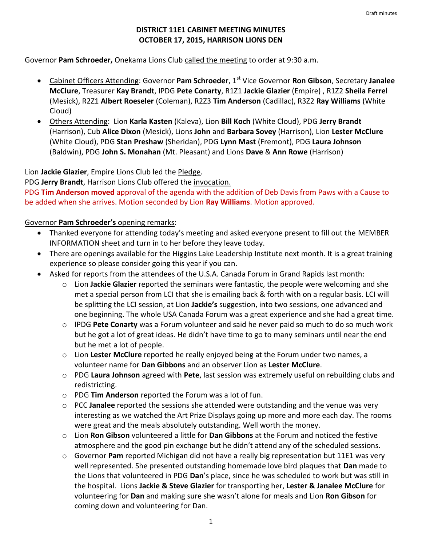### **DISTRICT 11E1 CABINET MEETING MINUTES OCTOBER 17, 2015, HARRISON LIONS DEN**

Governor **Pam Schroeder,** Onekama Lions Club called the meeting to order at 9:30 a.m.

- Cabinet Officers Attending: Governor **Pam Schroeder**, 1<sup>st</sup> Vice Governor **Ron Gibson**, Secretary Janalee **McClure**, Treasurer **Kay Brandt**, IPDG **Pete Conarty**, R1Z1 **Jackie Glazier** (Empire) , R1Z2 **Sheila Ferrel** (Mesick), R2Z1 **Albert Roeseler** (Coleman), R2Z3 **Tim Anderson** (Cadillac), R3Z2 **Ray Williams** (White Cloud)
- Others Attending: Lion **Karla Kasten** (Kaleva), Lion **Bill Koch** (White Cloud), PDG **Jerry Brandt** (Harrison), Cub **Alice Dixon** (Mesick), Lions **John** and **Barbara Sovey** (Harrison), Lion **Lester McClure** (White Cloud), PDG **Stan Preshaw** (Sheridan), PDG **Lynn Mast** (Fremont), PDG **Laura Johnson** (Baldwin), PDG **John S. Monahan** (Mt. Pleasant) and Lions **Dave** & **Ann Rowe** (Harrison)

Lion **Jackie Glazier**, Empire Lions Club led the Pledge.

PDG **Jerry Brandt**, Harrison Lions Club offered the invocation.

PDG **Tim Anderson moved** approval of the agenda with the addition of Deb Davis from Paws with a Cause to be added when she arrives. Motion seconded by Lion **Ray Williams**. Motion approved.

#### Governor **Pam Schroeder's** opening remarks:

- Thanked everyone for attending today's meeting and asked everyone present to fill out the MEMBER INFORMATION sheet and turn in to her before they leave today.
- There are openings available for the Higgins Lake Leadership Institute next month. It is a great training experience so please consider going this year if you can.
- Asked for reports from the attendees of the U.S.A. Canada Forum in Grand Rapids last month:
	- o Lion **Jackie Glazier** reported the seminars were fantastic, the people were welcoming and she met a special person from LCI that she is emailing back & forth with on a regular basis. LCI will be splitting the LCI session, at Lion **Jackie's** suggestion, into two sessions, one advanced and one beginning. The whole USA Canada Forum was a great experience and she had a great time.
	- o IPDG **Pete Conarty** was a Forum volunteer and said he never paid so much to do so much work but he got a lot of great ideas. He didn't have time to go to many seminars until near the end but he met a lot of people.
	- o Lion **Lester McClure** reported he really enjoyed being at the Forum under two names, a volunteer name for **Dan Gibbons** and an observer Lion as **Lester McClure**.
	- o PDG **Laura Johnson** agreed with **Pete**, last session was extremely useful on rebuilding clubs and redistricting.
	- o PDG **Tim Anderson** reported the Forum was a lot of fun.
	- o PCC **Janalee** reported the sessions she attended were outstanding and the venue was very interesting as we watched the Art Prize Displays going up more and more each day. The rooms were great and the meals absolutely outstanding. Well worth the money.
	- o Lion **Ron Gibson** volunteered a little for **Dan Gibbons** at the Forum and noticed the festive atmosphere and the good pin exchange but he didn't attend any of the scheduled sessions.
	- o Governor **Pam** reported Michigan did not have a really big representation but 11E1 was very well represented. She presented outstanding homemade love bird plaques that **Dan** made to the Lions that volunteered in PDG **Dan**'s place, since he was scheduled to work but was still in the hospital. Lions **Jackie & Steve Glazier** for transporting her, **Lester & Janalee McClure** for volunteering for **Dan** and making sure she wasn't alone for meals and Lion **Ron Gibson** for coming down and volunteering for Dan.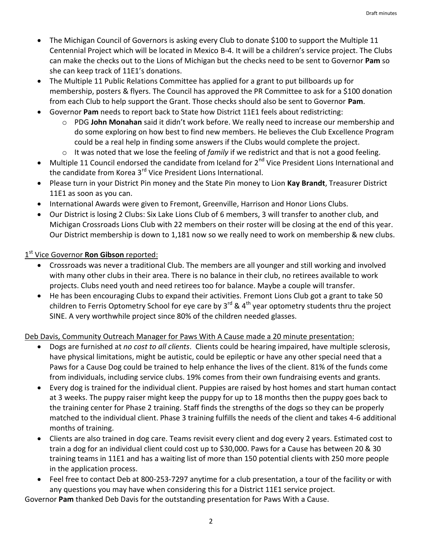- The Michigan Council of Governors is asking every Club to donate \$100 to support the Multiple 11 Centennial Project which will be located in Mexico B-4. It will be a children's service project. The Clubs can make the checks out to the Lions of Michigan but the checks need to be sent to Governor **Pam** so she can keep track of 11E1's donations.
- The Multiple 11 Public Relations Committee has applied for a grant to put billboards up for membership, posters & flyers. The Council has approved the PR Committee to ask for a \$100 donation from each Club to help support the Grant. Those checks should also be sent to Governor **Pam**.
- Governor **Pam** needs to report back to State how District 11E1 feels about redistricting:
	- o PDG **John Monahan** said it didn't work before. We really need to increase our membership and do some exploring on how best to find new members. He believes the Club Excellence Program could be a real help in finding some answers if the Clubs would complete the project.
	- o It was noted that we lose the feeling of *family* if we redistrict and that is not a good feeling.
- Multiple 11 Council endorsed the candidate from Iceland for  $2^{nd}$  Vice President Lions International and the candidate from Korea 3<sup>rd</sup> Vice President Lions International.
- Please turn in your District Pin money and the State Pin money to Lion **Kay Brandt**, Treasurer District 11E1 as soon as you can.
- International Awards were given to Fremont, Greenville, Harrison and Honor Lions Clubs.
- Our District is losing 2 Clubs: Six Lake Lions Club of 6 members, 3 will transfer to another club, and Michigan Crossroads Lions Club with 22 members on their roster will be closing at the end of this year. Our District membership is down to 1,181 now so we really need to work on membership & new clubs.

# 1 st Vice Governor **Ron Gibson** reported:

- Crossroads was never a traditional Club. The members are all younger and still working and involved with many other clubs in their area. There is no balance in their club, no retirees available to work projects. Clubs need youth and need retirees too for balance. Maybe a couple will transfer.
- He has been encouraging Clubs to expand their activities. Fremont Lions Club got a grant to take 50 children to Ferris Optometry School for eye care by  $3^{rd}$  &  $4^{th}$  year optometry students thru the project SINE. A very worthwhile project since 80% of the children needed glasses.

### Deb Davis, Community Outreach Manager for Paws With A Cause made a 20 minute presentation:

- Dogs are furnished at *no cost to all clients*. Clients could be hearing impaired, have multiple sclerosis, have physical limitations, might be autistic, could be epileptic or have any other special need that a Paws for a Cause Dog could be trained to help enhance the lives of the client. 81% of the funds come from individuals, including service clubs. 19% comes from their own fundraising events and grants.
- Every dog is trained for the individual client. Puppies are raised by host homes and start human contact at 3 weeks. The puppy raiser might keep the puppy for up to 18 months then the puppy goes back to the training center for Phase 2 training. Staff finds the strengths of the dogs so they can be properly matched to the individual client. Phase 3 training fulfills the needs of the client and takes 4-6 additional months of training.
- Clients are also trained in dog care. Teams revisit every client and dog every 2 years. Estimated cost to train a dog for an individual client could cost up to \$30,000. Paws for a Cause has between 20 & 30 training teams in 11E1 and has a waiting list of more than 150 potential clients with 250 more people in the application process.
- Feel free to contact Deb at 800-253-7297 anytime for a club presentation, a tour of the facility or with any questions you may have when considering this for a District 11E1 service project.

Governor **Pam** thanked Deb Davis for the outstanding presentation for Paws With a Cause.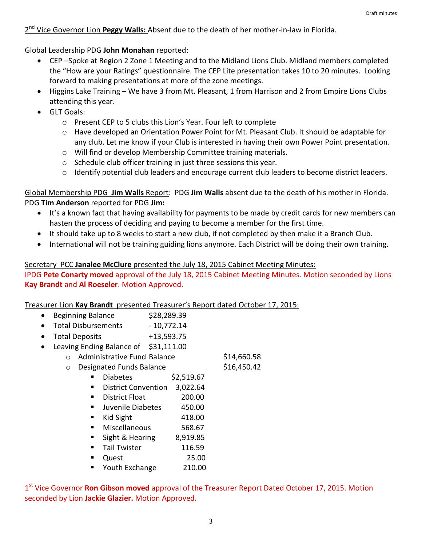2<sup>nd</sup> Vice Governor Lion Peggy Walls: Absent due to the death of her mother-in-law in Florida.

Global Leadership PDG **John Monahan** reported:

- CEP –Spoke at Region 2 Zone 1 Meeting and to the Midland Lions Club. Midland members completed the "How are your Ratings" questionnaire. The CEP Lite presentation takes 10 to 20 minutes. Looking forward to making presentations at more of the zone meetings.
- Higgins Lake Training We have 3 from Mt. Pleasant, 1 from Harrison and 2 from Empire Lions Clubs attending this year.
- **•** GLT Goals:
	- o Present CEP to 5 clubs this Lion's Year. Four left to complete
	- o Have developed an Orientation Power Point for Mt. Pleasant Club. It should be adaptable for any club. Let me know if your Club is interested in having their own Power Point presentation.
	- o Will find or develop Membership Committee training materials.
	- o Schedule club officer training in just three sessions this year.
	- $\circ$  Identify potential club leaders and encourage current club leaders to become district leaders.

Global Membership PDG **Jim Walls** Report: PDG **Jim Walls** absent due to the death of his mother in Florida. PDG **Tim Anderson** reported for PDG **Jim:**

- It's a known fact that having availability for payments to be made by credit cards for new members can hasten the process of deciding and paying to become a member for the first time.
- It should take up to 8 weeks to start a new club, if not completed by then make it a Branch Club.
- International will not be training guiding lions anymore. Each District will be doing their own training.

### Secretary PCC **Janalee McClure** presented the July 18, 2015 Cabinet Meeting Minutes:

IPDG **Pete Conarty moved** approval of the July 18, 2015 Cabinet Meeting Minutes. Motion seconded by Lions **Kay Brandt** and **Al Roeseler**. Motion Approved.

Treasurer Lion **Kay Brandt** presented Treasurer's Report dated October 17, 2015:

- Beginning Balance \$28,289.39
- Total Disbursements 10,772.14
- Total Deposits +13,593.75
- Leaving Ending Balance of \$31,111.00
	- o Administrative Fund Balance \$14,660.58
		- o Designated Funds Balance \$16,450.42

- $\blacksquare$  Diabetes  $$2,519.67$ District Convention 3,022.64
- District Float 200.00
- Juvenile Diabetes 450.00
- Kid Sight  $418.00$
- Miscellaneous 568.67
- Sight & Hearing 8,919.85
- Tail Twister 116.59
- Quest 25.00
- Youth Exchange 210.00

1<sup>st</sup> Vice Governor **Ron Gibson moved** approval of the Treasurer Report Dated October 17, 2015. Motion seconded by Lion **Jackie Glazier.** Motion Approved.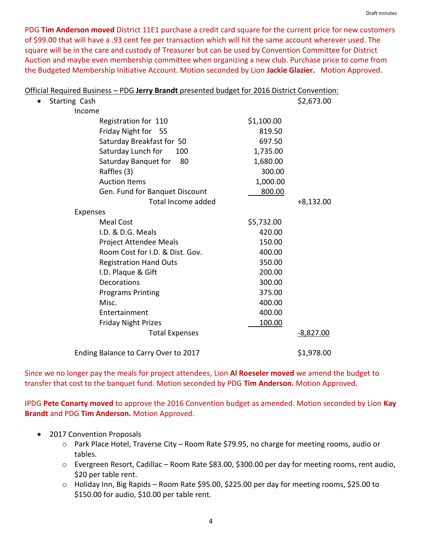PDG **Tim Anderson moved** District 11E1 purchase a credit card square for the current price for new customers of \$99.00 that will have a .93 cent fee per transaction which will hit the same account wherever used. The square will be in the care and custody of Treasurer but can be used by Convention Committee for District Auction and maybe even membership committee when organizing a new club. Purchase price to come from the Budgeted Membership Initiative Account. Motion seconded by Lion **Jackie Glazier.** Motion Approved.

| Official Required Business - PDG Jerry Brandt presented budget for 2016 District Convention: |            |             |
|----------------------------------------------------------------------------------------------|------------|-------------|
| Starting Cash                                                                                |            | \$2,673.00  |
| Income                                                                                       |            |             |
| Registration for 110                                                                         | \$1,100.00 |             |
| Friday Night for 55                                                                          | 819.50     |             |
| Saturday Breakfast for 50                                                                    | 697.50     |             |
| Saturday Lunch for<br>100                                                                    | 1,735.00   |             |
| Saturday Banquet for<br>80                                                                   | 1,680.00   |             |
| Raffles (3)                                                                                  | 300.00     |             |
| <b>Auction Items</b>                                                                         | 1,000.00   |             |
| Gen. Fund for Banquet Discount                                                               | 800.00     |             |
| Total Income added                                                                           |            | $+8,132.00$ |
| Expenses                                                                                     |            |             |
| <b>Meal Cost</b>                                                                             | \$5,732.00 |             |
| I.D. & D.G. Meals                                                                            | 420.00     |             |
| Project Attendee Meals                                                                       | 150.00     |             |
| Room Cost for I.D. & Dist. Gov.                                                              | 400.00     |             |
| <b>Registration Hand Outs</b>                                                                | 350.00     |             |
| I.D. Plaque & Gift                                                                           | 200.00     |             |
| Decorations                                                                                  | 300.00     |             |
| <b>Programs Printing</b>                                                                     | 375.00     |             |
| Misc.                                                                                        | 400.00     |             |
| Entertainment                                                                                | 400.00     |             |
| <b>Friday Night Prizes</b>                                                                   | 100.00     |             |
| <b>Total Expenses</b>                                                                        |            | $-8,827.00$ |
| Ending Balance to Carry Over to 2017                                                         |            | \$1,978.00  |

Since we no longer pay the meals for project attendees, Lion **Al Roeseler moved** we amend the budget to transfer that cost to the banquet fund. Motion seconded by PDG **Tim Anderson.** Motion Approved.

IPDG **Pete Conarty moved** to approve the 2016 Convention budget as amended. Motion seconded by Lion **Kay Brandt** and PDG **Tim Anderson.** Motion Approved.

- 2017 Convention Proposals
	- o Park Place Hotel, Traverse City Room Rate \$79.95, no charge for meeting rooms, audio or tables.
	- o Evergreen Resort, Cadillac Room Rate \$83.00, \$300.00 per day for meeting rooms, rent audio, \$20 per table rent.
	- o Holiday Inn, Big Rapids Room Rate \$95.00, \$225.00 per day for meeting rooms, \$25.00 to \$150.00 for audio, \$10.00 per table rent.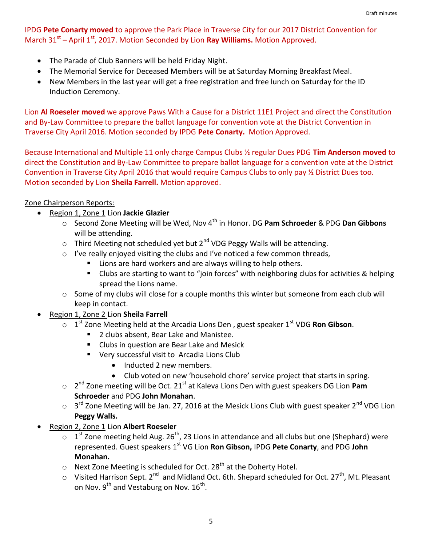### IPDG **Pete Conarty moved** to approve the Park Place in Traverse City for our 2017 District Convention for March 31<sup>st</sup> – April 1<sup>st</sup>, 2017. Motion Seconded by Lion **Ray Williams.** Motion Approved.

- The Parade of Club Banners will be held Friday Night.
- The Memorial Service for Deceased Members will be at Saturday Morning Breakfast Meal.
- New Members in the last year will get a free registration and free lunch on Saturday for the ID Induction Ceremony.

Lion **Al Roeseler moved** we approve Paws With a Cause for a District 11E1 Project and direct the Constitution and By-Law Committee to prepare the ballot language for convention vote at the District Convention in Traverse City April 2016. Motion seconded by IPDG **Pete Conarty.** Motion Approved.

Because International and Multiple 11 only charge Campus Clubs ½ regular Dues PDG **Tim Anderson moved** to direct the Constitution and By-Law Committee to prepare ballot language for a convention vote at the District Convention in Traverse City April 2016 that would require Campus Clubs to only pay ½ District Dues too. Motion seconded by Lion **Sheila Farrell.** Motion approved.

## Zone Chairperson Reports:

- Region 1, Zone 1 Lion **Jackie Glazier**
	- o Second Zone Meeting will be Wed, Nov 4th in Honor. DG **Pam Schroeder** & PDG **Dan Gibbons** will be attending.
	- $\circ$  Third Meeting not scheduled yet but 2<sup>nd</sup> VDG Peggy Walls will be attending.
	- o I've really enjoyed visiting the clubs and I've noticed a few common threads,
		- Lions are hard workers and are always willing to help others.
		- Clubs are starting to want to "join forces" with neighboring clubs for activities & helping spread the Lions name.
	- o Some of my clubs will close for a couple months this winter but someone from each club will keep in contact.
- Region 1, Zone 2 Lion **Sheila Farrell**
	- o 1<sup>st</sup> Zone Meeting held at the Arcadia Lions Den, guest speaker 1<sup>st</sup> VDG **Ron Gibson**.
		- 2 clubs absent, Bear Lake and Manistee.
		- **E** Clubs in question are Bear Lake and Mesick
		- **Very successful visit to Arcadia Lions Club** 
			- Inducted 2 new members.
			- Club voted on new 'household chore' service project that starts in spring.
	- o 2 nd Zone meeting will be Oct. 21st at Kaleva Lions Den with guest speakers DG Lion **Pam Schroeder** and PDG **John Monahan**.
	- $\circ$  3<sup>rd</sup> Zone Meeting will be Jan. 27, 2016 at the Mesick Lions Club with guest speaker 2<sup>nd</sup> VDG Lion **Peggy Walls.**
- Region 2, Zone 1 Lion **Albert Roeseler**
	- $\circ$  1<sup>st</sup> Zone meeting held Aug. 26<sup>th</sup>, 23 Lions in attendance and all clubs but one (Shephard) were represented. Guest speakers 1st VG Lion **Ron Gibson,** IPDG **Pete Conarty**, and PDG **John Monahan.**
	- $\circ$  Next Zone Meeting is scheduled for Oct. 28<sup>th</sup> at the Doherty Hotel.
	- $\circ$  Visited Harrison Sept. 2<sup>nd</sup> and Midland Oct. 6th. Shepard scheduled for Oct. 27<sup>th</sup>, Mt. Pleasant on Nov.  $9^{\text{th}}$  and Vestaburg on Nov.  $16^{\text{th}}$ .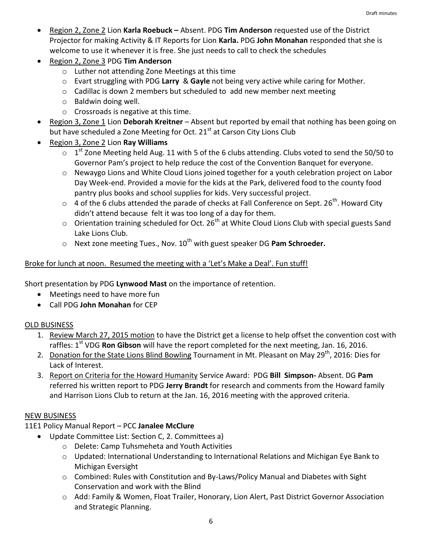- Region 2, Zone 2 Lion **Karla Roebuck –** Absent. PDG **Tim Anderson** requested use of the District Projector for making Activity & IT Reports for Lion **Karla.** PDG **John Monahan** responded that she is welcome to use it whenever it is free. She just needs to call to check the schedules
- Region 2, Zone 3 PDG **Tim Anderson**
	- o Luther not attending Zone Meetings at this time
	- o Evart struggling with PDG **Larry** & **Gayle** not being very active while caring for Mother.
	- $\circ$  Cadillac is down 2 members but scheduled to add new member next meeting
	- o Baldwin doing well.
	- o Crossroads is negative at this time.
- Region 3, Zone 1 Lion **Deborah Kreitner** Absent but reported by email that nothing has been going on but have scheduled a Zone Meeting for Oct.  $21<sup>st</sup>$  at Carson City Lions Club
- Region 3, Zone 2 Lion **Ray Williams**
	- $\circ$  1<sup>st</sup> Zone Meeting held Aug. 11 with 5 of the 6 clubs attending. Clubs voted to send the 50/50 to Governor Pam's project to help reduce the cost of the Convention Banquet for everyone.
	- o Newaygo Lions and White Cloud Lions joined together for a youth celebration project on Labor Day Week-end. Provided a movie for the kids at the Park, delivered food to the county food pantry plus books and school supplies for kids. Very successful project.
	- $\circ$  4 of the 6 clubs attended the parade of checks at Fall Conference on Sept. 26<sup>th</sup>. Howard City didn't attend because felt it was too long of a day for them.
	- $\circ$  Orientation training scheduled for Oct. 26<sup>th</sup> at White Cloud Lions Club with special guests Sand Lake Lions Club.
	- o Next zone meeting Tues., Nov. 10th with guest speaker DG **Pam Schroeder.**

# Broke for lunch at noon. Resumed the meeting with a 'Let's Make a Deal'. Fun stuff!

Short presentation by PDG **Lynwood Mast** on the importance of retention.

- Meetings need to have more fun
- Call PDG **John Monahan** for CEP

# OLD BUSINESS

- 1. Review March 27, 2015 motion to have the District get a license to help offset the convention cost with raffles: 1<sup>st</sup> VDG **Ron Gibson** will have the report completed for the next meeting, Jan. 16, 2016.
- 2. Donation for the State Lions Blind Bowling Tournament in Mt. Pleasant on May 29<sup>th</sup>, 2016: Dies for Lack of Interest.
- 3. Report on Criteria for the Howard Humanity Service Award: PDG **Bill Simpson-** Absent. DG **Pam**  referred his written report to PDG **Jerry Brandt** for research and comments from the Howard family and Harrison Lions Club to return at the Jan. 16, 2016 meeting with the approved criteria.

### NEW BUSINESS

11E1 Policy Manual Report – PCC **Janalee McClure**

- Update Committee List: Section C, 2. Committees a)
	- o Delete: Camp Tuhsmeheta and Youth Activities
	- o Updated: International Understanding to International Relations and Michigan Eye Bank to Michigan Eversight
	- o Combined: Rules with Constitution and By-Laws/Policy Manual and Diabetes with Sight Conservation and work with the Blind
	- o Add: Family & Women, Float Trailer, Honorary, Lion Alert, Past District Governor Association and Strategic Planning.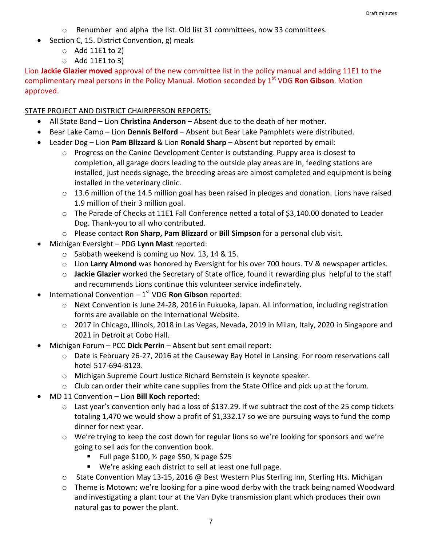- o Renumber and alpha the list. Old list 31 committees, now 33 committees.
- Section C, 15. District Convention, g) meals
	- $\circ$  Add 11E1 to 2)
	- $\circ$  Add 11E1 to 3)

Lion **Jackie Glazier moved** approval of the new committee list in the policy manual and adding 11E1 to the complimentary meal persons in the Policy Manual. Motion seconded by 1<sup>st</sup> VDG **Ron Gibson**. Motion approved.

### STATE PROJECT AND DISTRICT CHAIRPERSON REPORTS:

- All State Band Lion **Christina Anderson**  Absent due to the death of her mother.
- Bear Lake Camp Lion **Dennis Belford** Absent but Bear Lake Pamphlets were distributed.
- Leader Dog Lion **Pam Blizzard** & Lion **Ronald Sharp** Absent but reported by email:
	- $\circ$  Progress on the Canine Development Center is outstanding. Puppy area is closest to completion, all garage doors leading to the outside play areas are in, feeding stations are installed, just needs signage, the breeding areas are almost completed and equipment is being installed in the veterinary clinic.
	- o 13.6 million of the 14.5 million goal has been raised in pledges and donation. Lions have raised 1.9 million of their 3 million goal.
	- o The Parade of Checks at 11E1 Fall Conference netted a total of \$3,140.00 donated to Leader Dog. Thank-you to all who contributed.
	- o Please contact **Ron Sharp, Pam Blizzard** or **Bill Simpson** for a personal club visit.
- Michigan Eversight PDG **Lynn Mast** reported:
	- o Sabbath weekend is coming up Nov. 13, 14 & 15.
	- o Lion **Larry Almond** was honored by Eversight for his over 700 hours. TV & newspaper articles.
	- o **Jackie Glazier** worked the Secretary of State office, found it rewarding plus helpful to the staff and recommends Lions continue this volunteer service indefinately.
- **•** International Convention 1<sup>st</sup> VDG **Ron Gibson** reported:
	- o Next Convention is June 24-28, 2016 in Fukuoka, Japan. All information, including registration forms are available on the International Website.
	- o 2017 in Chicago, Illinois, 2018 in Las Vegas, Nevada, 2019 in Milan, Italy, 2020 in Singapore and 2021 in Detroit at Cobo Hall.
- Michigan Forum PCC **Dick Perrin**  Absent but sent email report:
	- o Date is February 26-27, 2016 at the Causeway Bay Hotel in Lansing. For room reservations call hotel 517-694-8123.
	- o Michigan Supreme Court Justice Richard Bernstein is keynote speaker.
	- o Club can order their white cane supplies from the State Office and pick up at the forum.
- MD 11 Convention Lion **Bill Koch** reported:
	- $\circ$  Last year's convention only had a loss of \$137.29. If we subtract the cost of the 25 comp tickets totaling 1,470 we would show a profit of \$1,332.17 so we are pursuing ways to fund the comp dinner for next year.
	- $\circ$  We're trying to keep the cost down for regular lions so we're looking for sponsors and we're going to sell ads for the convention book.
		- Full page \$100, ½ page \$50, ¼ page \$25
		- We're asking each district to sell at least one full page.
	- $\circ$  State Convention May 13-15, 2016 @ Best Western Plus Sterling Inn, Sterling Hts. Michigan
	- $\circ$  Theme is Motown; we're looking for a pine wood derby with the track being named Woodward and investigating a plant tour at the Van Dyke transmission plant which produces their own natural gas to power the plant.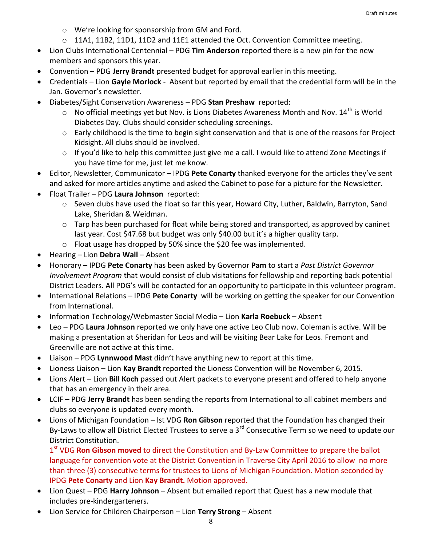- o We're looking for sponsorship from GM and Ford.
- $\circ$  11A1, 11B2, 11D1, 11D2 and 11E1 attended the Oct. Convention Committee meeting.
- Lion Clubs International Centennial PDG **Tim Anderson** reported there is a new pin for the new members and sponsors this year.
- Convention PDG **Jerry Brandt** presented budget for approval earlier in this meeting.
- Credentials Lion **Gayle Morlock** Absent but reported by email that the credential form will be in the Jan. Governor's newsletter.
- Diabetes/Sight Conservation Awareness PDG **Stan Preshaw** reported:
	- $\circ$  No official meetings yet but Nov. is Lions Diabetes Awareness Month and Nov. 14<sup>th</sup> is World Diabetes Day. Clubs should consider scheduling screenings.
	- o Early childhood is the time to begin sight conservation and that is one of the reasons for Project Kidsight. All clubs should be involved.
	- o If you'd like to help this committee just give me a call. I would like to attend Zone Meetings if you have time for me, just let me know.
- Editor, Newsletter, Communicator IPDG **Pete Conarty** thanked everyone for the articles they've sent and asked for more articles anytime and asked the Cabinet to pose for a picture for the Newsletter.
- Float Trailer PDG **Laura Johnson** reported:
	- o Seven clubs have used the float so far this year, Howard City, Luther, Baldwin, Barryton, Sand Lake, Sheridan & Weidman.
	- $\circ$  Tarp has been purchased for float while being stored and transported, as approved by caninet last year. Cost \$47.68 but budget was only \$40.00 but it's a higher quality tarp.
	- o Float usage has dropped by 50% since the \$20 fee was implemented.
- Hearing Lion **Debra Wall**  Absent
- Honorary IPDG **Pete Conarty** has been asked by Governor **Pam** to start a *Past District Governor Involvement Program* that would consist of club visitations for fellowship and reporting back potential District Leaders. All PDG's will be contacted for an opportunity to participate in this volunteer program.
- International Relations IPDG **Pete Conarty** will be working on getting the speaker for our Convention from International.
- Information Technology/Webmaster Social Media Lion **Karla Roebuck** Absent
- Leo PDG **Laura Johnson** reported we only have one active Leo Club now. Coleman is active. Will be making a presentation at Sheridan for Leos and will be visiting Bear Lake for Leos. Fremont and Greenville are not active at this time.
- Liaison PDG **Lynnwood Mast** didn't have anything new to report at this time.
- Lioness Liaison Lion **Kay Brandt** reported the Lioness Convention will be November 6, 2015.
- Lions Alert Lion **Bill Koch** passed out Alert packets to everyone present and offered to help anyone that has an emergency in their area.
- LCIF PDG **Jerry Brandt** has been sending the reports from International to all cabinet members and clubs so everyone is updated every month.
- Lions of Michigan Foundation lst VDG **Ron Gibson** reported that the Foundation has changed their By-Laws to allow all District Elected Trustees to serve a 3<sup>rd</sup> Consecutive Term so we need to update our District Constitution.

1<sup>st</sup> VDG **Ron Gibson moved** to direct the Constitution and By-Law Committee to prepare the ballot language for convention vote at the District Convention in Traverse City April 2016 to allow no more than three (3) consecutive terms for trustees to Lions of Michigan Foundation. Motion seconded by IPDG **Pete Conarty** and Lion **Kay Brandt.** Motion approved.

- Lion Quest PDG **Harry Johnson**  Absent but emailed report that Quest has a new module that includes pre-kindergarteners.
- Lion Service for Children Chairperson Lion **Terry Strong**  Absent